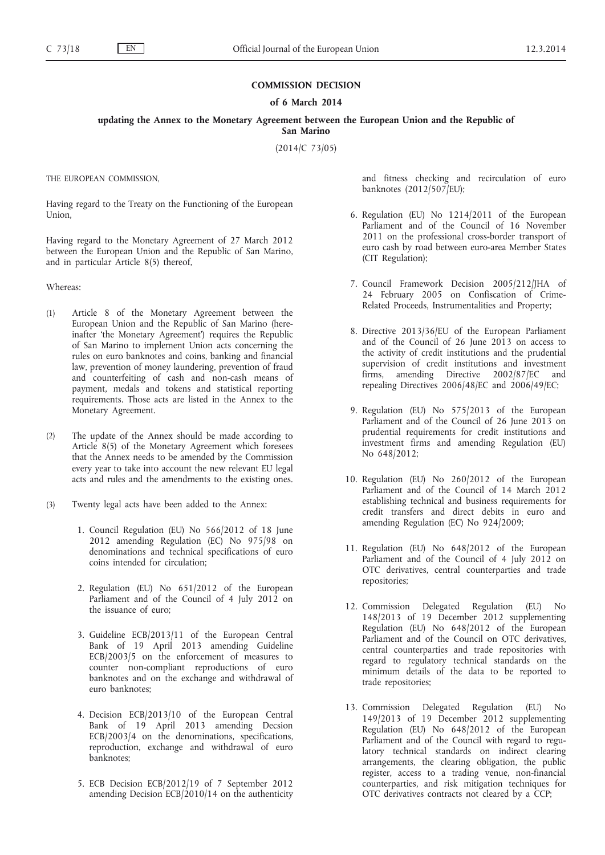## **COMMISSION DECISION**

## **of 6 March 2014**

**updating the Annex to the Monetary Agreement between the European Union and the Republic of San Marino**

(2014/C 73/05)

THE EUROPEAN COMMISSION,

Having regard to the Treaty on the Functioning of the European Union,

Having regard to the Monetary Agreement of 27 March 2012 between the European Union and the Republic of San Marino, and in particular Article 8(5) thereof,

Whereas:

- (1) Article 8 of the Monetary Agreement between the European Union and the Republic of San Marino (hereinafter 'the Monetary Agreement') requires the Republic of San Marino to implement Union acts concerning the rules on euro banknotes and coins, banking and financial law, prevention of money laundering, prevention of fraud and counterfeiting of cash and non-cash means of payment, medals and tokens and statistical reporting requirements. Those acts are listed in the Annex to the Monetary Agreement.
- (2) The update of the Annex should be made according to Article 8(5) of the Monetary Agreement which foresees that the Annex needs to be amended by the Commission every year to take into account the new relevant EU legal acts and rules and the amendments to the existing ones.
- (3) Twenty legal acts have been added to the Annex:
	- 1. Council Regulation (EU) No 566/2012 of 18 June 2012 amending Regulation (EC) No 975/98 on denominations and technical specifications of euro coins intended for circulation;
	- 2. Regulation (EU) No 651/2012 of the European Parliament and of the Council of 4 July 2012 on the issuance of euro;
	- 3. Guideline ECB/2013/11 of the European Central Bank of 19 April 2013 amending Guideline ECB/2003/5 on the enforcement of measures to counter non-compliant reproductions of euro banknotes and on the exchange and withdrawal of euro banknotes;
	- 4. Decision ECB/2013/10 of the European Central Bank of 19 April 2013 amending Decsion ECB/2003/4 on the denominations, specifications, reproduction, exchange and withdrawal of euro banknotes;
	- 5. ECB Decision ECB/2012/19 of 7 September 2012 amending Decision ECB/2010/14 on the authenticity

and fitness checking and recirculation of euro banknotes (2012/507/EU);

- 6. Regulation (EU) No 1214/2011 of the European Parliament and of the Council of 16 November 2011 on the professional cross-border transport of euro cash by road between euro-area Member States (CIT Regulation);
- 7. Council Framework Decision 2005/212/JHA of 24 February 2005 on Confiscation of Crime-Related Proceeds, Instrumentalities and Property;
- 8. Directive 2013/36/EU of the European Parliament and of the Council of 26 June 2013 on access to the activity of credit institutions and the prudential supervision of credit institutions and investment firms, amending Directive 2002/87/EC and repealing Directives 2006/48/EC and 2006/49/EC;
- 9. Regulation (EU) No 575/2013 of the European Parliament and of the Council of 26 June 2013 on prudential requirements for credit institutions and investment firms and amending Regulation (EU) No 648/2012;
- 10. Regulation (EU) No 260/2012 of the European Parliament and of the Council of 14 March 2012 establishing technical and business requirements for credit transfers and direct debits in euro and amending Regulation (EC) No 924/2009;
- 11. Regulation (EU) No 648/2012 of the European Parliament and of the Council of 4 July 2012 on OTC derivatives, central counterparties and trade repositories;
- 12. Commission Delegated Regulation (EU) No 148/2013 of 19 December 2012 supplementing Regulation (EU) No 648/2012 of the European Parliament and of the Council on OTC derivatives, central counterparties and trade repositories with regard to regulatory technical standards on the minimum details of the data to be reported to trade repositories;
- 13. Commission Delegated Regulation (EU) No 149/2013 of 19 December 2012 supplementing Regulation (EU) No 648/2012 of the European Parliament and of the Council with regard to regulatory technical standards on indirect clearing arrangements, the clearing obligation, the public register, access to a trading venue, non-financial counterparties, and risk mitigation techniques for OTC derivatives contracts not cleared by a CCP;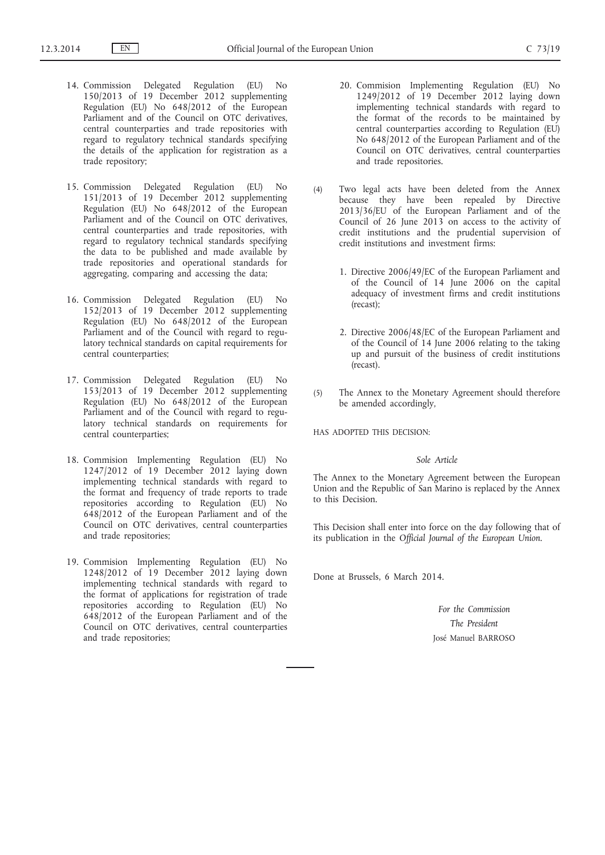- 14. Commission Delegated Regulation (EU) No 150/2013 of 19 December 2012 supplementing Regulation (EU) No 648/2012 of the European Parliament and of the Council on OTC derivatives, central counterparties and trade repositories with regard to regulatory technical standards specifying the details of the application for registration as a trade repository;
- 15. Commission Delegated Regulation (EU) No 151/2013 of 19 December 2012 supplementing Regulation (EU) No 648/2012 of the European Parliament and of the Council on OTC derivatives, central counterparties and trade repositories, with regard to regulatory technical standards specifying the data to be published and made available by trade repositories and operational standards for aggregating, comparing and accessing the data;
- 16. Commission Delegated Regulation (EU) No 152/2013 of 19 December 2012 supplementing Regulation (EU) No 648/2012 of the European Parliament and of the Council with regard to regulatory technical standards on capital requirements for central counterparties;
- 17. Commission Delegated Regulation (EU) No 153/2013 of 19 December 2012 supplementing Regulation (EU) No 648/2012 of the European Parliament and of the Council with regard to regulatory technical standards on requirements for central counterparties;
- 18. Commision Implementing Regulation (EU) No 1247/2012 of 19 December 2012 laying down implementing technical standards with regard to the format and frequency of trade reports to trade repositories according to Regulation (EU) No 648/2012 of the European Parliament and of the Council on OTC derivatives, central counterparties and trade repositories;
- 19. Commision Implementing Regulation (EU) No 1248/2012 of 19 December 2012 laying down implementing technical standards with regard to the format of applications for registration of trade repositories according to Regulation (EU) No 648/2012 of the European Parliament and of the Council on OTC derivatives, central counterparties and trade repositories;
- 20. Commision Implementing Regulation (EU) No 1249/2012 of 19 December 2012 laying down implementing technical standards with regard to the format of the records to be maintained by central counterparties according to Regulation (EU) No 648/2012 of the European Parliament and of the Council on OTC derivatives, central counterparties and trade repositories.
- (4) Two legal acts have been deleted from the Annex because they have been repealed by Directive 2013/36/EU of the European Parliament and of the Council of 26 June 2013 on access to the activity of credit institutions and the prudential supervision of credit institutions and investment firms:
	- 1. Directive 2006/49/EC of the European Parliament and of the Council of 14 June 2006 on the capital adequacy of investment firms and credit institutions (recast);
	- 2. Directive 2006/48/EC of the European Parliament and of the Council of 14 June 2006 relating to the taking up and pursuit of the business of credit institutions (recast).
- (5) The Annex to the Monetary Agreement should therefore be amended accordingly,

HAS ADOPTED THIS DECISION:

## *Sole Article*

The Annex to the Monetary Agreement between the European Union and the Republic of San Marino is replaced by the Annex to this Decision.

This Decision shall enter into force on the day following that of its publication in the *Official Journal of the European Union*.

Done at Brussels, 6 March 2014.

*For the Commission The President* José Manuel BARROSO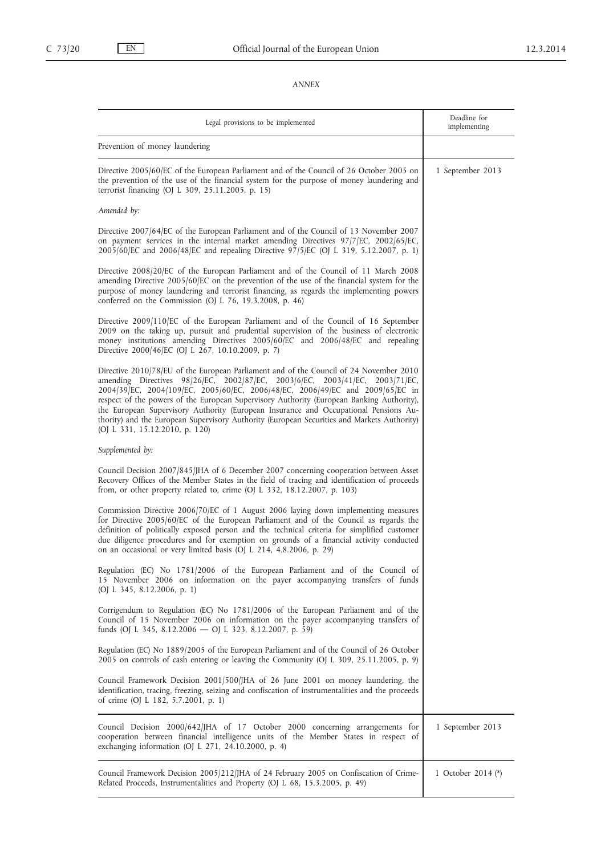## *ANNEX*

| Legal provisions to be implemented                                                                                                                                                                                                                                                                                                                                                                                                                                                                                                                                            | Deadline for<br>implementing |
|-------------------------------------------------------------------------------------------------------------------------------------------------------------------------------------------------------------------------------------------------------------------------------------------------------------------------------------------------------------------------------------------------------------------------------------------------------------------------------------------------------------------------------------------------------------------------------|------------------------------|
| Prevention of money laundering                                                                                                                                                                                                                                                                                                                                                                                                                                                                                                                                                |                              |
| Directive 2005/60/EC of the European Parliament and of the Council of 26 October 2005 on<br>the prevention of the use of the financial system for the purpose of money laundering and<br>terrorist financing (OJ L 309, 25.11.2005, p. 15)                                                                                                                                                                                                                                                                                                                                    | 1 September 2013             |
| Amended by:                                                                                                                                                                                                                                                                                                                                                                                                                                                                                                                                                                   |                              |
| Directive 2007/64/EC of the European Parliament and of the Council of 13 November 2007<br>on payment services in the internal market amending Directives $97/7$ /EC, 2002/65/EC,<br>2005/60/EC and 2006/48/EC and repealing Directive 97/5/EC (OJ L 319, 5.12.2007, p. 1)                                                                                                                                                                                                                                                                                                     |                              |
| Directive 2008/20/EC of the European Parliament and of the Council of 11 March 2008<br>amending Directive 2005/60/EC on the prevention of the use of the financial system for the<br>purpose of money laundering and terrorist financing, as regards the implementing powers<br>conferred on the Commission (OJ L $76$ , 19.3.2008, p. 46)                                                                                                                                                                                                                                    |                              |
| Directive 2009/110/EC of the European Parliament and of the Council of 16 September<br>2009 on the taking up, pursuit and prudential supervision of the business of electronic<br>money institutions amending Directives 2005/60/EC and 2006/48/EC and repealing<br>Directive 2000/46/EC (OJ L 267, 10.10.2009, p. 7)                                                                                                                                                                                                                                                         |                              |
| Directive 2010/78/EU of the European Parliament and of the Council of 24 November 2010<br>amending Directives 98/26/EC, 2002/87/EC, 2003/6/EC, 2003/41/EC, 2003/71/EC,<br>2004/39/EC, 2004/109/EC, 2005/60/EC, 2006/48/EC, 2006/49/EC and 2009/65/EC in<br>respect of the powers of the European Supervisory Authority (European Banking Authority),<br>the European Supervisory Authority (European Insurance and Occupational Pensions Au-<br>thority) and the European Supervisory Authority (European Securities and Markets Authority)<br>(OJ L 331, 15.12.2010, p. 120) |                              |
| Supplemented by:                                                                                                                                                                                                                                                                                                                                                                                                                                                                                                                                                              |                              |
| Council Decision 2007/845/JHA of 6 December 2007 concerning cooperation between Asset<br>Recovery Offices of the Member States in the field of tracing and identification of proceeds<br>from, or other property related to, crime $(OJ L 332, 18.12.2007, p. 103)$                                                                                                                                                                                                                                                                                                           |                              |
| Commission Directive 2006/70/EC of 1 August 2006 laying down implementing measures<br>for Directive 2005/60/EC of the European Parliament and of the Council as regards the<br>definition of politically exposed person and the technical criteria for simplified customer<br>due diligence procedures and for exemption on grounds of a financial activity conducted<br>on an occasional or very limited basis (OJ L 214, 4.8.2006, p. 29)                                                                                                                                   |                              |
| Regulation (EC) No 1781/2006 of the European Parliament and of the Council of<br>15 November 2006 on information on the payer accompanying transfers of funds<br>(OJ L 345, 8.12.2006, p. 1)                                                                                                                                                                                                                                                                                                                                                                                  |                              |
| Corrigendum to Regulation (EC) No 1781/2006 of the European Parliament and of the<br>Council of 15 November 2006 on information on the payer accompanying transfers of<br>funds (OJ L 345, 8.12.2006 - OJ L 323, 8.12.2007, p. 59)                                                                                                                                                                                                                                                                                                                                            |                              |
| Regulation (EC) No 1889/2005 of the European Parliament and of the Council of 26 October<br>2005 on controls of cash entering or leaving the Community (OJ L 309, 25.11.2005, p. 9)                                                                                                                                                                                                                                                                                                                                                                                           |                              |
| Council Framework Decision 2001/500/JHA of 26 June 2001 on money laundering, the<br>identification, tracing, freezing, seizing and confiscation of instrumentalities and the proceeds<br>of crime (OJ L 182, 5.7.2001, p. 1)                                                                                                                                                                                                                                                                                                                                                  |                              |
| Council Decision 2000/642/JHA of 17 October 2000 concerning arrangements for<br>cooperation between financial intelligence units of the Member States in respect of<br>exchanging information (OJ L 271, 24.10.2000, p. 4)                                                                                                                                                                                                                                                                                                                                                    | 1 September 2013             |
| Council Framework Decision 2005/212/JHA of 24 February 2005 on Confiscation of Crime-<br>Related Proceeds, Instrumentalities and Property (OJ L 68, 15.3.2005, p. 49)                                                                                                                                                                                                                                                                                                                                                                                                         | 1 October 2014 (*)           |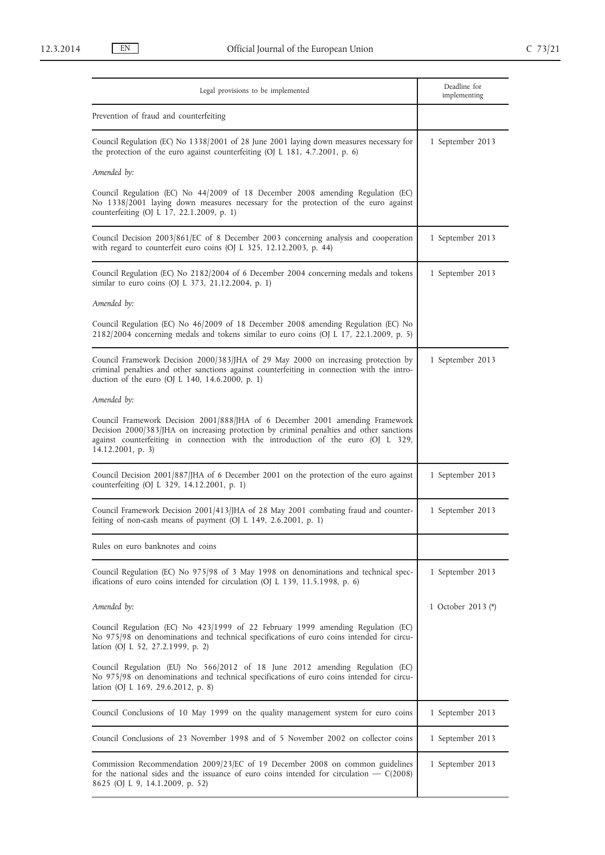| Legal provisions to be implemented                                                                                                                                                                                                                                                  | Deadline for<br>implementing |
|-------------------------------------------------------------------------------------------------------------------------------------------------------------------------------------------------------------------------------------------------------------------------------------|------------------------------|
| Prevention of fraud and counterfeiting                                                                                                                                                                                                                                              |                              |
| Council Regulation (EC) No 1338/2001 of 28 June 2001 laying down measures necessary for<br>the protection of the euro against counterfeiting (OJ L 181, 4.7.2001, p. 6)                                                                                                             | 1 September 2013             |
| Amended by:                                                                                                                                                                                                                                                                         |                              |
| Council Regulation (EC) No 44/2009 of 18 December 2008 amending Regulation (EC)<br>No 1338/2001 laying down measures necessary for the protection of the euro against<br>counterfeiting (OJ L 17, 22.1.2009, p. 1)                                                                  |                              |
| Council Decision 2003/861/EC of 8 December 2003 concerning analysis and cooperation<br>with regard to counterfeit euro coins (OJ L 325, 12.12.2003, p. 44)                                                                                                                          | 1 September 2013             |
| Council Regulation (EC) No 2182/2004 of 6 December 2004 concerning medals and tokens<br>similar to euro coins (OJ L 373, 21.12.2004, p. 1)                                                                                                                                          | 1 September 2013             |
| Amended by:                                                                                                                                                                                                                                                                         |                              |
| Council Regulation (EC) No 46/2009 of 18 December 2008 amending Regulation (EC) No<br>2182/2004 concerning medals and tokens similar to euro coins (OJ L 17, 22.1.2009, p. 5)                                                                                                       |                              |
| Council Framework Decision 2000/383/JHA of 29 May 2000 on increasing protection by<br>criminal penalties and other sanctions against counterfeiting in connection with the intro-<br>duction of the euro (OJ L 140, 14.6.2000, p. 1)                                                | 1 September 2013             |
| Amended by:                                                                                                                                                                                                                                                                         |                              |
| Council Framework Decision 2001/888/JHA of 6 December 2001 amending Framework<br>Decision 2000/383/JHA on increasing protection by criminal penalties and other sanctions<br>against counterfeiting in connection with the introduction of the euro (OJ L 329,<br>14.12.2001, p. 3) |                              |
| Council Decision 2001/887/JHA of 6 December 2001 on the protection of the euro against<br>counterfeiting (OJ L 329, 14.12.2001, p. 1)                                                                                                                                               | 1 September 2013             |
| Council Framework Decision 2001/413/JHA of 28 May 2001 combating fraud and counter-<br>feiting of non-cash means of payment (OJ L 149, 2.6.2001, p. 1)                                                                                                                              | 1 September 2013             |
| Rules on euro banknotes and coins                                                                                                                                                                                                                                                   |                              |
| Council Regulation (EC) No 975/98 of 3 May 1998 on denominations and technical spec-<br>ifications of euro coins intended for circulation (OJ L 139, 11.5.1998, p. 6)                                                                                                               | 1 September 2013             |
| Amended by:                                                                                                                                                                                                                                                                         | 1 October 2013 (*)           |
| Council Regulation (EC) No 423/1999 of 22 February 1999 amending Regulation (EC)<br>No 975/98 on denominations and technical specifications of euro coins intended for circu-<br>lation (OJ L 52, 27.2.1999, p. 2)                                                                  |                              |
| Council Regulation (EU) No 566/2012 of 18 June 2012 amending Regulation (EC)<br>No 975/98 on denominations and technical specifications of euro coins intended for circu-<br>lation (OJ L 169, 29.6.2012, p. 8)                                                                     |                              |
| Council Conclusions of 10 May 1999 on the quality management system for euro coins                                                                                                                                                                                                  | 1 September 2013             |
| Council Conclusions of 23 November 1998 and of 5 November 2002 on collector coins                                                                                                                                                                                                   | 1 September 2013             |
| Commission Recommendation 2009/23/EC of 19 December 2008 on common guidelines<br>for the national sides and the issuance of euro coins intended for circulation $-$ C(2008)<br>8625 (OJ L 9, 14.1.2009, p. 52)                                                                      | 1 September 2013             |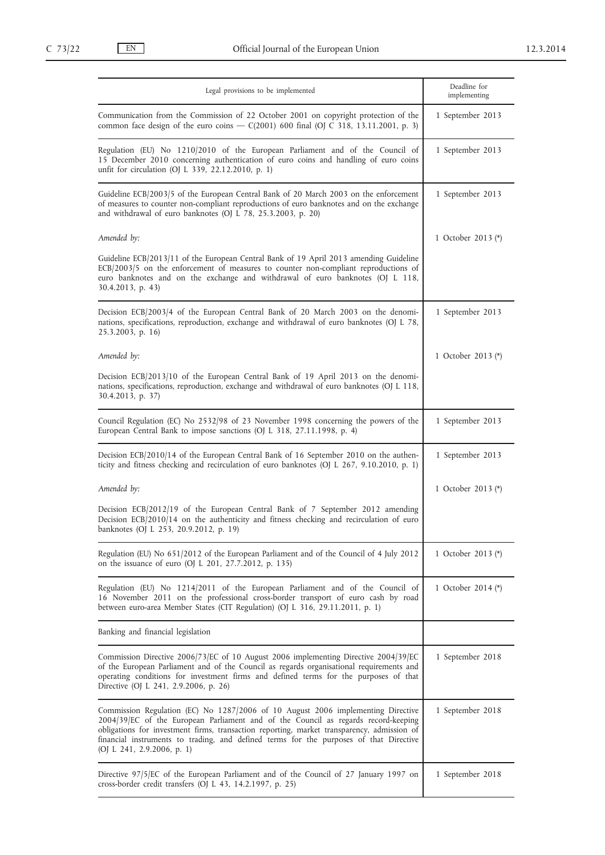| Legal provisions to be implemented                                                                                                                                                                                                                                                                                                                                                           | Deadline for<br>implementing |
|----------------------------------------------------------------------------------------------------------------------------------------------------------------------------------------------------------------------------------------------------------------------------------------------------------------------------------------------------------------------------------------------|------------------------------|
| Communication from the Commission of 22 October 2001 on copyright protection of the<br>common face design of the euro coins — $C(2001)$ 600 final (OJ C 318, 13.11.2001, p. 3)                                                                                                                                                                                                               | 1 September 2013             |
| Regulation (EU) No 1210/2010 of the European Parliament and of the Council of<br>15 December 2010 concerning authentication of euro coins and handling of euro coins<br>unfit for circulation (OJ L 339, 22.12.2010, p. 1)                                                                                                                                                                   | 1 September 2013             |
| Guideline ECB/2003/5 of the European Central Bank of 20 March 2003 on the enforcement<br>of measures to counter non-compliant reproductions of euro banknotes and on the exchange<br>and withdrawal of euro banknotes (OJ L 78, 25.3.2003, p. 20)                                                                                                                                            | 1 September 2013             |
| Amended by:                                                                                                                                                                                                                                                                                                                                                                                  | 1 October 2013 (*)           |
| Guideline ECB/2013/11 of the European Central Bank of 19 April 2013 amending Guideline<br>ECB/2003/5 on the enforcement of measures to counter non-compliant reproductions of<br>euro banknotes and on the exchange and withdrawal of euro banknotes (OJ L 118,<br>30.4.2013, p. 43)                                                                                                         |                              |
| Decision ECB/2003/4 of the European Central Bank of 20 March 2003 on the denomi-<br>nations, specifications, reproduction, exchange and withdrawal of euro banknotes (OJ L 78,<br>25.3.2003, p. 16)                                                                                                                                                                                          | 1 September 2013             |
| Amended by:                                                                                                                                                                                                                                                                                                                                                                                  | 1 October 2013 (*)           |
| Decision ECB/2013/10 of the European Central Bank of 19 April 2013 on the denomi-<br>nations, specifications, reproduction, exchange and withdrawal of euro banknotes (OJ L 118,<br>30.4.2013, p. 37)                                                                                                                                                                                        |                              |
| Council Regulation (EC) No 2532/98 of 23 November 1998 concerning the powers of the<br>European Central Bank to impose sanctions (OJ L 318, 27.11.1998, p. 4)                                                                                                                                                                                                                                | 1 September 2013             |
| Decision ECB/2010/14 of the European Central Bank of 16 September 2010 on the authen-<br>ticity and fitness checking and recirculation of euro banknotes (OJ L 267, 9.10.2010, p. 1)                                                                                                                                                                                                         | 1 September 2013             |
| Amended by:                                                                                                                                                                                                                                                                                                                                                                                  | 1 October 2013 (*)           |
| Decision ECB/2012/19 of the European Central Bank of 7 September 2012 amending<br>Decision ECB/2010/14 on the authenticity and fitness checking and recirculation of euro<br>banknotes (OJ L 253, 20.9.2012, p. 19)                                                                                                                                                                          |                              |
| Regulation (EU) No 651/2012 of the European Parliament and of the Council of 4 July 2012<br>on the issuance of euro (OJ L 201, 27.7.2012, p. 135)                                                                                                                                                                                                                                            | 1 October 2013 (*)           |
| Regulation (EU) No 1214/2011 of the European Parliament and of the Council of<br>16 November 2011 on the professional cross-border transport of euro cash by road<br>between euro-area Member States (CIT Regulation) (OJ L 316, 29.11.2011, p. 1)                                                                                                                                           | 1 October 2014 (*)           |
| Banking and financial legislation                                                                                                                                                                                                                                                                                                                                                            |                              |
| Commission Directive 2006/73/EC of 10 August 2006 implementing Directive 2004/39/EC<br>of the European Parliament and of the Council as regards organisational requirements and<br>operating conditions for investment firms and defined terms for the purposes of that<br>Directive (OJ L 241, 2.9.2006, p. 26)                                                                             | 1 September 2018             |
| Commission Regulation (EC) No 1287/2006 of 10 August 2006 implementing Directive<br>2004/39/EC of the European Parliament and of the Council as regards record-keeping<br>obligations for investment firms, transaction reporting, market transparency, admission of<br>financial instruments to trading, and defined terms for the purposes of that Directive<br>(OJ L 241, 2.9.2006, p. 1) | 1 September 2018             |
| Directive 97/5/EC of the European Parliament and of the Council of 27 January 1997 on<br>cross-border credit transfers (OJ L 43, 14.2.1997, p. 25)                                                                                                                                                                                                                                           | 1 September 2018             |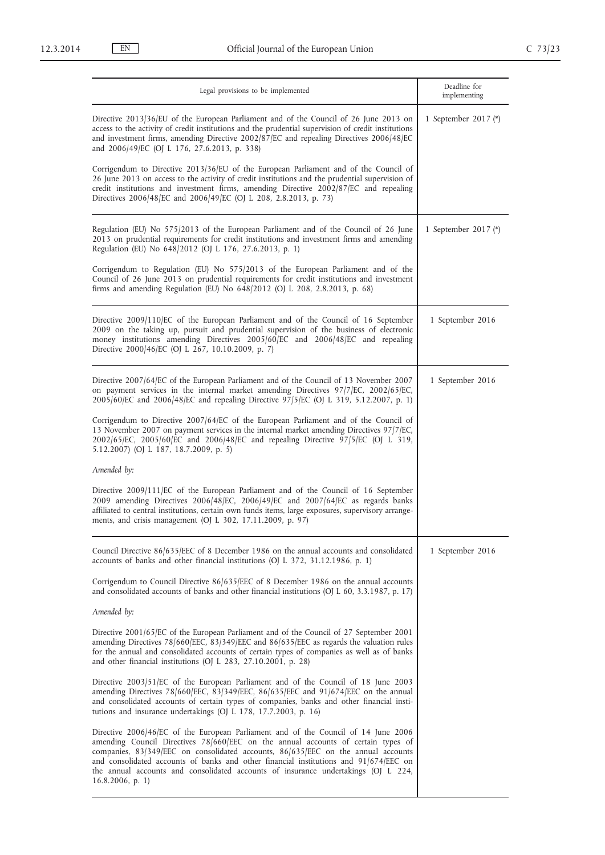| Legal provisions to be implemented                                                                                                                                                                                                                                                                                                                                                                                                                                 | Deadline for<br>implementing |
|--------------------------------------------------------------------------------------------------------------------------------------------------------------------------------------------------------------------------------------------------------------------------------------------------------------------------------------------------------------------------------------------------------------------------------------------------------------------|------------------------------|
| Directive 2013/36/EU of the European Parliament and of the Council of 26 June 2013 on<br>access to the activity of credit institutions and the prudential supervision of credit institutions<br>and investment firms, amending Directive 2002/87/EC and repealing Directives 2006/48/EC<br>and 2006/49/EC (OJ L 176, 27.6.2013, p. 338)                                                                                                                            | 1 September 2017 (*)         |
| Corrigendum to Directive 2013/36/EU of the European Parliament and of the Council of<br>26 June 2013 on access to the activity of credit institutions and the prudential supervision of<br>credit institutions and investment firms, amending Directive 2002/87/EC and repealing<br>Directives 2006/48/EC and 2006/49/EC (OJ L 208, 2.8.2013, p. 73)                                                                                                               |                              |
| Regulation (EU) No 575/2013 of the European Parliament and of the Council of 26 June<br>2013 on prudential requirements for credit institutions and investment firms and amending<br>Regulation (EU) No 648/2012 (OJ L 176, 27.6.2013, p. 1)                                                                                                                                                                                                                       | 1 September 2017 (*)         |
| Corrigendum to Regulation (EU) No 575/2013 of the European Parliament and of the<br>Council of 26 June 2013 on prudential requirements for credit institutions and investment<br>firms and amending Regulation (EU) No 648/2012 (OJ L 208, 2.8.2013, p. 68)                                                                                                                                                                                                        |                              |
| Directive 2009/110/EC of the European Parliament and of the Council of 16 September<br>2009 on the taking up, pursuit and prudential supervision of the business of electronic<br>money institutions amending Directives 2005/60/EC and 2006/48/EC and repealing<br>Directive 2000/46/EC (OJ L 267, 10.10.2009, p. 7)                                                                                                                                              | 1 September 2016             |
| Directive 2007/64/EC of the European Parliament and of the Council of 13 November 2007<br>on payment services in the internal market amending Directives 97/7/EC, 2002/65/EC,<br>2005/60/EC and 2006/48/EC and repealing Directive 97/5/EC (OJ L 319, 5.12.2007, p. 1)                                                                                                                                                                                             | 1 September 2016             |
| Corrigendum to Directive 2007/64/EC of the European Parliament and of the Council of<br>13 November 2007 on payment services in the internal market amending Directives 97/7/EC,<br>2002/65/EC, 2005/60/EC and 2006/48/EC and repealing Directive 97/5/EC (OJ L 319,<br>5.12.2007) (OJ L 187, 18.7.2009, p. 5)                                                                                                                                                     |                              |
| Amended by:                                                                                                                                                                                                                                                                                                                                                                                                                                                        |                              |
| Directive 2009/111/EC of the European Parliament and of the Council of 16 September<br>2009 amending Directives 2006/48/EC, 2006/49/EC and 2007/64/EC as regards banks<br>affiliated to central institutions, certain own funds items, large exposures, supervisory arrange-<br>ments, and crisis management (OJ L 302, 17.11.2009, p. 97)                                                                                                                         |                              |
| Council Directive 86/635/EEC of 8 December 1986 on the annual accounts and consolidated<br>accounts of banks and other financial institutions (OJ L 372, 31.12.1986, p. 1)                                                                                                                                                                                                                                                                                         | 1 September 2016             |
| Corrigendum to Council Directive 86/635/EEC of 8 December 1986 on the annual accounts<br>and consolidated accounts of banks and other financial institutions (OJ L 60, 3.3.1987, p. 17)                                                                                                                                                                                                                                                                            |                              |
| Amended by:                                                                                                                                                                                                                                                                                                                                                                                                                                                        |                              |
| Directive 2001/65/EC of the European Parliament and of the Council of 27 September 2001<br>amending Directives 78/660/EEC, 83/349/EEC and 86/635/EEC as regards the valuation rules<br>for the annual and consolidated accounts of certain types of companies as well as of banks<br>and other financial institutions (OJ L 283, 27.10.2001, p. 28)                                                                                                                |                              |
| Directive 2003/51/EC of the European Parliament and of the Council of 18 June 2003<br>amending Directives 78/660/EEC, 83/349/EEC, 86/635/EEC and 91/674/EEC on the annual<br>and consolidated accounts of certain types of companies, banks and other financial insti-<br>tutions and insurance undertakings (OJ L 178, 17.7.2003, p. 16)                                                                                                                          |                              |
| Directive 2006/46/EC of the European Parliament and of the Council of 14 June 2006<br>amending Council Directives 78/660/EEC on the annual accounts of certain types of<br>companies, 83/349/EEC on consolidated accounts, 86/635/EEC on the annual accounts<br>and consolidated accounts of banks and other financial institutions and 91/674/EEC on<br>the annual accounts and consolidated accounts of insurance undertakings (OJ L 224,<br>$16.8.2006$ , p. 1) |                              |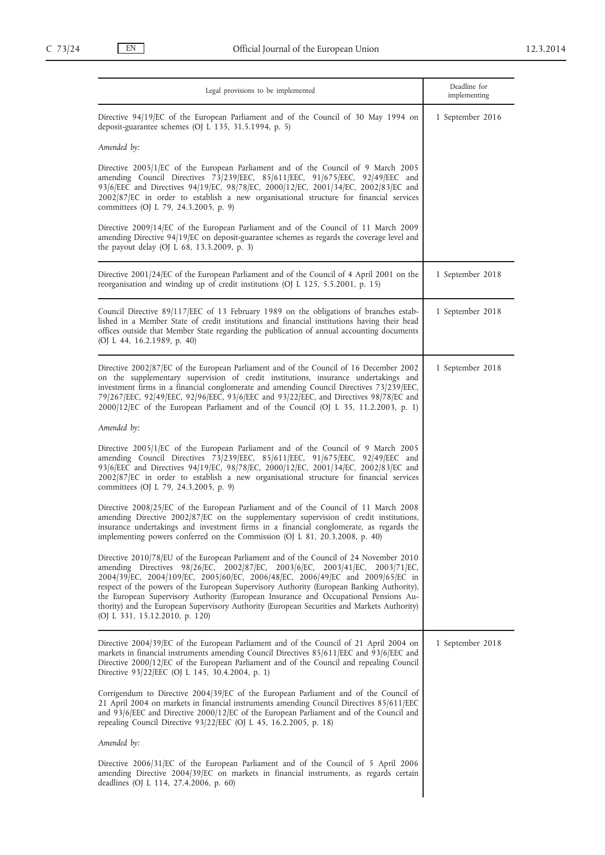| Legal provisions to be implemented                                                                                                                                                                                                                                                                                                                                                                                                                                                                                                                                            | Deadline for<br>implementing |
|-------------------------------------------------------------------------------------------------------------------------------------------------------------------------------------------------------------------------------------------------------------------------------------------------------------------------------------------------------------------------------------------------------------------------------------------------------------------------------------------------------------------------------------------------------------------------------|------------------------------|
| Directive 94/19/EC of the European Parliament and of the Council of 30 May 1994 on<br>deposit-guarantee schemes (OJ L 135, 31.5.1994, p. 5)                                                                                                                                                                                                                                                                                                                                                                                                                                   | 1 September 2016             |
| Amended by:                                                                                                                                                                                                                                                                                                                                                                                                                                                                                                                                                                   |                              |
| Directive 2005/1/EC of the European Parliament and of the Council of 9 March 2005<br>amending Council Directives 73/239/EEC, 85/611/EEC, 91/675/EEC, 92/49/EEC and<br>93/6/EEC and Directives 94/19/EC, 98/78/EC, 2000/12/EC, 2001/34/EC, 2002/83/EC and<br>2002/87/EC in order to establish a new organisational structure for financial services<br>committees (OJ L 79, 24.3.2005, p. 9)                                                                                                                                                                                   |                              |
| Directive 2009/14/EC of the European Parliament and of the Council of 11 March 2009<br>amending Directive 94/19/EC on deposit-guarantee schemes as regards the coverage level and<br>the payout delay (OJ L 68, 13.3.2009, p. 3)                                                                                                                                                                                                                                                                                                                                              |                              |
| Directive 2001/24/EC of the European Parliament and of the Council of 4 April 2001 on the<br>reorganisation and winding up of credit institutions (OJ L 125, 5.5.2001, p. 15)                                                                                                                                                                                                                                                                                                                                                                                                 | 1 September 2018             |
| Council Directive 89/117/EEC of 13 February 1989 on the obligations of branches estab-<br>lished in a Member State of credit institutions and financial institutions having their head<br>offices outside that Member State regarding the publication of annual accounting documents<br>(OJ L 44, 16.2.1989, p. 40)                                                                                                                                                                                                                                                           | 1 September 2018             |
| Directive 2002/87/EC of the European Parliament and of the Council of 16 December 2002<br>on the supplementary supervision of credit institutions, insurance undertakings and<br>investment firms in a financial conglomerate and amending Council Directives 73/239/EEC,<br>79/267/EEC, 92/49/EEC, 92/96/EEC, 93/6/EEC and 93/22/EEC, and Directives 98/78/EC and<br>2000/12/EC of the European Parliament and of the Council (OJ L 35, 11.2.2003, p. 1)                                                                                                                     | 1 September 2018             |
| Amended by:                                                                                                                                                                                                                                                                                                                                                                                                                                                                                                                                                                   |                              |
| Directive 2005/1/EC of the European Parliament and of the Council of 9 March 2005<br>amending Council Directives 73/239/EEC, 85/611/EEC, 91/675/EEC, 92/49/EEC and<br>93/6/EEC and Directives 94/19/EC, 98/78/EC, 2000/12/EC, 2001/34/EC, 2002/83/EC and<br>2002/87/EC in order to establish a new organisational structure for financial services<br>committees (OJ L 79, 24.3.2005, p. 9)                                                                                                                                                                                   |                              |
| Directive 2008/25/EC of the European Parliament and of the Council of 11 March 2008<br>amending Directive 2002/87/EC on the supplementary supervision of credit institutions,<br>insurance undertakings and investment firms in a financial conglomerate, as regards the<br>implementing powers conferred on the Commission (OJ L 81, 20.3.2008, p. 40)                                                                                                                                                                                                                       |                              |
| Directive 2010/78/EU of the European Parliament and of the Council of 24 November 2010<br>amending Directives 98/26/EC, 2002/87/EC, 2003/6/EC, 2003/41/EC, 2003/71/EC,<br>2004/39/EC, 2004/109/EC, 2005/60/EC, 2006/48/EC, 2006/49/EC and 2009/65/EC in<br>respect of the powers of the European Supervisory Authority (European Banking Authority),<br>the European Supervisory Authority (European Insurance and Occupational Pensions Au-<br>thority) and the European Supervisory Authority (European Securities and Markets Authority)<br>(OJ L 331, 15.12.2010, p. 120) |                              |
| Directive 2004/39/EC of the European Parliament and of the Council of 21 April 2004 on<br>markets in financial instruments amending Council Directives 85/611/EEC and 93/6/EEC and<br>Directive 2000/12/EC of the European Parliament and of the Council and repealing Council<br>Directive 93/22/EEC (OJ L 145, 30.4.2004, p. 1)                                                                                                                                                                                                                                             | 1 September 2018             |
| Corrigendum to Directive 2004/39/EC of the European Parliament and of the Council of<br>21 April 2004 on markets in financial instruments amending Council Directives 85/611/EEC<br>and 93/6/EEC and Directive 2000/12/EC of the European Parliament and of the Council and<br>repealing Council Directive 93/22/EEC (OJ L 45, 16.2.2005, p. 18)                                                                                                                                                                                                                              |                              |
| Amended by:                                                                                                                                                                                                                                                                                                                                                                                                                                                                                                                                                                   |                              |
| Directive 2006/31/EC of the European Parliament and of the Council of 5 April 2006<br>amending Directive 2004/39/EC on markets in financial instruments, as regards certain<br>deadlines (OJ L 114, 27.4.2006, p. 60)                                                                                                                                                                                                                                                                                                                                                         |                              |
|                                                                                                                                                                                                                                                                                                                                                                                                                                                                                                                                                                               |                              |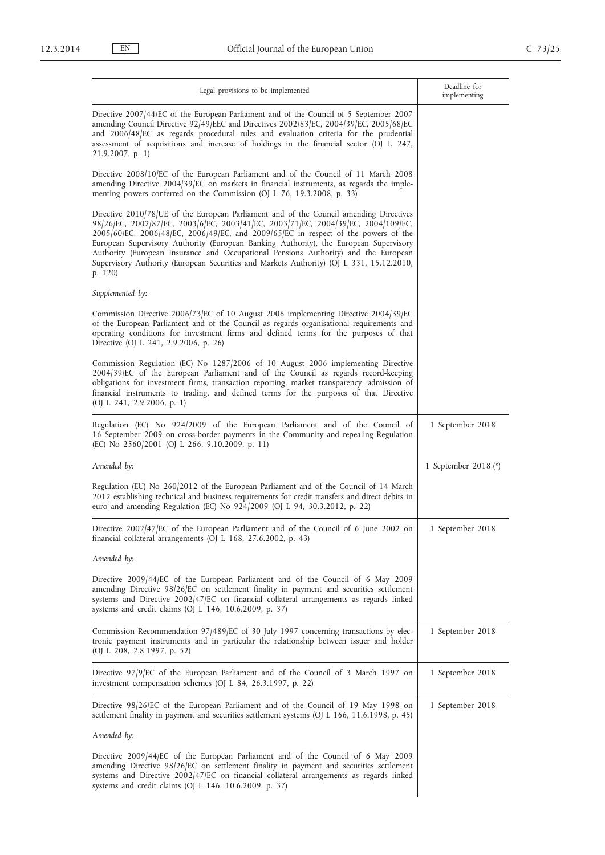| Legal provisions to be implemented                                                                                                                                                                                                                                                                                                                                                                                                                                                                                                                       | Deadline for<br>implementing |
|----------------------------------------------------------------------------------------------------------------------------------------------------------------------------------------------------------------------------------------------------------------------------------------------------------------------------------------------------------------------------------------------------------------------------------------------------------------------------------------------------------------------------------------------------------|------------------------------|
| Directive 2007/44/EC of the European Parliament and of the Council of 5 September 2007<br>amending Council Directive 92/49/EEC and Directives 2002/83/EC, 2004/39/EC, 2005/68/EC<br>and 2006/48/EC as regards procedural rules and evaluation criteria for the prudential<br>assessment of acquisitions and increase of holdings in the financial sector (OJ L 247,<br>21.9.2007, p. 1)                                                                                                                                                                  |                              |
| Directive 2008/10/EC of the European Parliament and of the Council of 11 March 2008<br>amending Directive 2004/39/EC on markets in financial instruments, as regards the imple-<br>menting powers conferred on the Commission (OJ L 76, 19.3.2008, p. 33)                                                                                                                                                                                                                                                                                                |                              |
| Directive 2010/78/UE of the European Parliament and of the Council amending Directives<br>98/26/EC, 2002/87/EC, 2003/6/EC, 2003/41/EC, 2003/71/EC, 2004/39/EC, 2004/109/EC,<br>2005/60/EC, 2006/48/EC, 2006/49/EC, and 2009/65/EC in respect of the powers of the<br>European Supervisory Authority (European Banking Authority), the European Supervisory<br>Authority (European Insurance and Occupational Pensions Authority) and the European<br>Supervisory Authority (European Securities and Markets Authority) (OJ L 331, 15.12.2010,<br>p. 120) |                              |
| Supplemented by:                                                                                                                                                                                                                                                                                                                                                                                                                                                                                                                                         |                              |
| Commission Directive 2006/73/EC of 10 August 2006 implementing Directive 2004/39/EC<br>of the European Parliament and of the Council as regards organisational requirements and<br>operating conditions for investment firms and defined terms for the purposes of that<br>Directive (OJ L 241, 2.9.2006, p. 26)                                                                                                                                                                                                                                         |                              |
| Commission Regulation (EC) No 1287/2006 of 10 August 2006 implementing Directive<br>2004/39/EC of the European Parliament and of the Council as regards record-keeping<br>obligations for investment firms, transaction reporting, market transparency, admission of<br>financial instruments to trading, and defined terms for the purposes of that Directive<br>(OJ L 241, 2.9.2006, p. 1)                                                                                                                                                             |                              |
| Regulation (EC) No 924/2009 of the European Parliament and of the Council of<br>16 September 2009 on cross-border payments in the Community and repealing Regulation<br>(EC) No 2560/2001 (OJ L 266, 9.10.2009, p. 11)                                                                                                                                                                                                                                                                                                                                   | 1 September 2018             |
| Amended by:                                                                                                                                                                                                                                                                                                                                                                                                                                                                                                                                              | 1 September 2018 $(*)$       |
| Regulation (EU) No 260/2012 of the European Parliament and of the Council of 14 March<br>2012 establishing technical and business requirements for credit transfers and direct debits in<br>euro and amending Regulation (EC) No 924/2009 (OJ L 94, 30.3.2012, p. 22)                                                                                                                                                                                                                                                                                    |                              |
| Directive 2002/47/EC of the European Parliament and of the Council of 6 June 2002 on<br>financial collateral arrangements (OJ L 168, 27.6.2002, p. 43)                                                                                                                                                                                                                                                                                                                                                                                                   | 1 September 2018             |
| Amended by:                                                                                                                                                                                                                                                                                                                                                                                                                                                                                                                                              |                              |
| Directive 2009/44/EC of the European Parliament and of the Council of 6 May 2009<br>amending Directive 98/26/EC on settlement finality in payment and securities settlement<br>systems and Directive $2002/47$ [EC on financial collateral arrangements as regards linked<br>systems and credit claims (OJ $L$ 146, 10.6.2009, p. 37)                                                                                                                                                                                                                    |                              |
| Commission Recommendation 97/489/EC of 30 July 1997 concerning transactions by elec-<br>tronic payment instruments and in particular the relationship between issuer and holder<br>(OJ L 208, 2.8.1997, p. 52)                                                                                                                                                                                                                                                                                                                                           | 1 September 2018             |
| Directive 97/9/EC of the European Parliament and of the Council of 3 March 1997 on<br>investment compensation schemes (OJ L 84, 26.3.1997, p. 22)                                                                                                                                                                                                                                                                                                                                                                                                        | 1 September 2018             |
| Directive 98/26/EC of the European Parliament and of the Council of 19 May 1998 on<br>settlement finality in payment and securities settlement systems (OJ L 166, 11.6.1998, p. 45)                                                                                                                                                                                                                                                                                                                                                                      | 1 September 2018             |
| Amended by:                                                                                                                                                                                                                                                                                                                                                                                                                                                                                                                                              |                              |
| Directive 2009/44/EC of the European Parliament and of the Council of 6 May 2009<br>amending Directive 98/26/EC on settlement finality in payment and securities settlement<br>systems and Directive 2002/47/EC on financial collateral arrangements as regards linked<br>systems and credit claims (OJ $L$ 146, 10.6.2009, p. 37)                                                                                                                                                                                                                       |                              |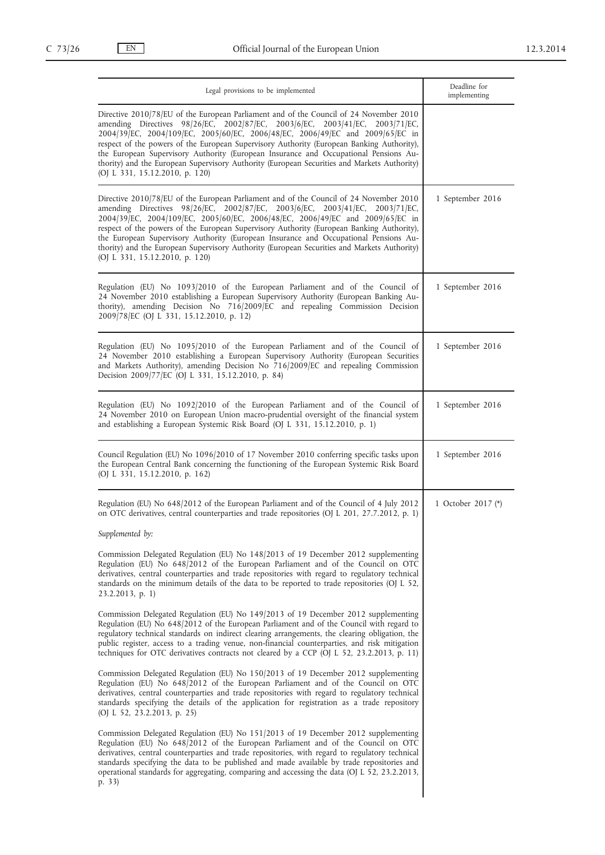| Legal provisions to be implemented                                                                                                                                                                                                                                                                                                                                                                                                                                                                                                                                            | Deadline for<br>implementing |
|-------------------------------------------------------------------------------------------------------------------------------------------------------------------------------------------------------------------------------------------------------------------------------------------------------------------------------------------------------------------------------------------------------------------------------------------------------------------------------------------------------------------------------------------------------------------------------|------------------------------|
| Directive 2010/78/EU of the European Parliament and of the Council of 24 November 2010<br>amending Directives 98/26/EC, 2002/87/EC, 2003/6/EC, 2003/41/EC, 2003/71/EC,<br>2004/39 EC, 2004/109 EC, 2005/60 EC, 2006/48 EC, 2006/49 EC and 2009/65 EC in<br>respect of the powers of the European Supervisory Authority (European Banking Authority),<br>the European Supervisory Authority (European Insurance and Occupational Pensions Au-<br>thority) and the European Supervisory Authority (European Securities and Markets Authority)<br>(OJ L 331, 15.12.2010, p. 120) |                              |
| Directive 2010/78/EU of the European Parliament and of the Council of 24 November 2010<br>amending Directives 98/26/EC, 2002/87/EC, 2003/6/EC, 2003/41/EC, 2003/71/EC,<br>2004/39/EC, 2004/109/EC, 2005/60/EC, 2006/48/EC, 2006/49/EC and 2009/65/EC in<br>respect of the powers of the European Supervisory Authority (European Banking Authority),<br>the European Supervisory Authority (European Insurance and Occupational Pensions Au-<br>thority) and the European Supervisory Authority (European Securities and Markets Authority)<br>(OJ L 331, 15.12.2010, p. 120) | 1 September 2016             |
| Regulation (EU) No 1093/2010 of the European Parliament and of the Council of<br>24 November 2010 establishing a European Supervisory Authority (European Banking Au-<br>thority), amending Decision No 716/2009/EC and repealing Commission Decision<br>2009/78/EC (OJ L 331, 15.12.2010, p. 12)                                                                                                                                                                                                                                                                             | 1 September 2016             |
| Regulation (EU) No 1095/2010 of the European Parliament and of the Council of<br>24 November 2010 establishing a European Supervisory Authority (European Securities<br>and Markets Authority), amending Decision No 716/2009/EC and repealing Commission<br>Decision 2009/77/EC (OJ L 331, 15.12.2010, p. 84)                                                                                                                                                                                                                                                                | 1 September 2016             |
| Regulation (EU) No 1092/2010 of the European Parliament and of the Council of<br>24 November 2010 on European Union macro-prudential oversight of the financial system<br>and establishing a European Systemic Risk Board (OJ L 331, 15.12.2010, p. 1)                                                                                                                                                                                                                                                                                                                        | 1 September 2016             |
| Council Regulation (EU) No 1096/2010 of 17 November 2010 conferring specific tasks upon<br>the European Central Bank concerning the functioning of the European Systemic Risk Board<br>(OJ L 331, 15.12.2010, p. 162)                                                                                                                                                                                                                                                                                                                                                         | 1 September 2016             |
| Regulation (EU) No 648/2012 of the European Parliament and of the Council of 4 July 2012<br>on OTC derivatives, central counterparties and trade repositories (OJ L 201, 27.7.2012, p. 1)                                                                                                                                                                                                                                                                                                                                                                                     | 1 October 2017 (*)           |
| Supplemented by:                                                                                                                                                                                                                                                                                                                                                                                                                                                                                                                                                              |                              |
| Commission Delegated Regulation (EU) No 148/2013 of 19 December 2012 supplementing<br>Regulation (EU) No 648/2012 of the European Parliament and of the Council on OTC<br>derivatives, central counterparties and trade repositories with regard to regulatory technical<br>standards on the minimum details of the data to be reported to trade repositories (OJ L 52,<br>$23.2.2013$ , p. 1)                                                                                                                                                                                |                              |
| Commission Delegated Regulation (EU) No 149/2013 of 19 December 2012 supplementing<br>Regulation (EU) No 648/2012 of the European Parliament and of the Council with regard to<br>regulatory technical standards on indirect clearing arrangements, the clearing obligation, the<br>public register, access to a trading venue, non-financial counterparties, and risk mitigation<br>techniques for OTC derivatives contracts not cleared by a CCP (OJ L 52, 23.2.2013, p. 11)                                                                                                |                              |
| Commission Delegated Regulation (EU) No 150/2013 of 19 December 2012 supplementing<br>Regulation (EU) No 648/2012 of the European Parliament and of the Council on OTC<br>derivatives, central counterparties and trade repositories with regard to regulatory technical<br>standards specifying the details of the application for registration as a trade repository<br>(OJ L 52, 23.2.2013, p. 25)                                                                                                                                                                         |                              |
| Commission Delegated Regulation (EU) No 151/2013 of 19 December 2012 supplementing<br>Regulation (EU) No 648/2012 of the European Parliament and of the Council on OTC<br>derivatives, central counterparties and trade repositories, with regard to regulatory technical<br>standards specifying the data to be published and made available by trade repositories and<br>operational standards for aggregating, comparing and accessing the data (OJ L 52, 23.2.2013,<br>p. 33)                                                                                             |                              |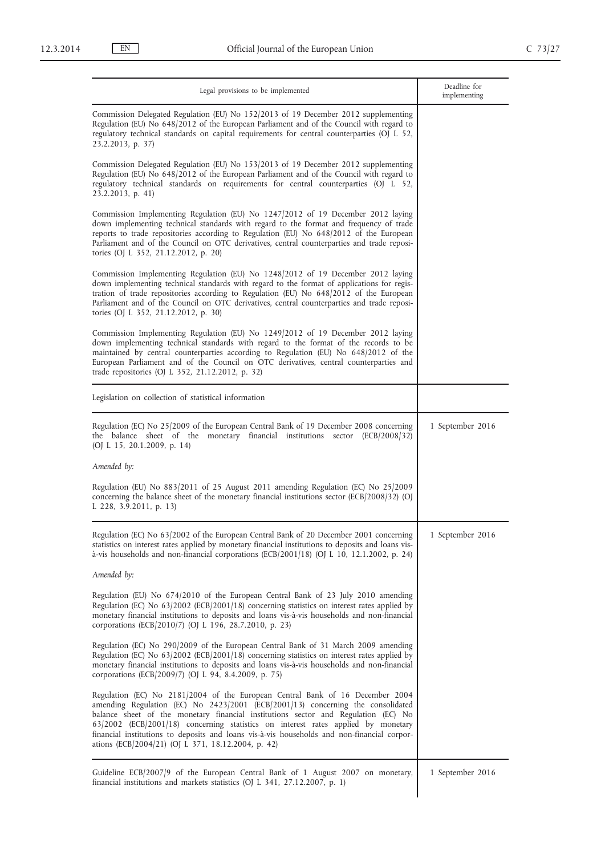| Legal provisions to be implemented                                                                                                                                                                                                                                                                                                                                                                                                                                                               | Deadline for<br>implementing |
|--------------------------------------------------------------------------------------------------------------------------------------------------------------------------------------------------------------------------------------------------------------------------------------------------------------------------------------------------------------------------------------------------------------------------------------------------------------------------------------------------|------------------------------|
| Commission Delegated Regulation (EU) No 152/2013 of 19 December 2012 supplementing<br>Regulation (EU) No 648/2012 of the European Parliament and of the Council with regard to<br>regulatory technical standards on capital requirements for central counterparties (OJ L 52,<br>23.2.2013, p. 37)                                                                                                                                                                                               |                              |
| Commission Delegated Regulation (EU) No 153/2013 of 19 December 2012 supplementing<br>Regulation (EU) No 648/2012 of the European Parliament and of the Council with regard to<br>regulatory technical standards on requirements for central counterparties (OJ L 52,<br>23.2.2013, p. 41)                                                                                                                                                                                                       |                              |
| Commission Implementing Regulation (EU) No 1247/2012 of 19 December 2012 laying<br>down implementing technical standards with regard to the format and frequency of trade<br>reports to trade repositories according to Regulation (EU) No 648/2012 of the European<br>Parliament and of the Council on OTC derivatives, central counterparties and trade reposi-<br>tories (OJ L 352, 21.12.2012, p. 20)                                                                                        |                              |
| Commission Implementing Regulation (EU) No 1248/2012 of 19 December 2012 laying<br>down implementing technical standards with regard to the format of applications for regis-<br>tration of trade repositories according to Regulation (EU) No 648/2012 of the European<br>Parliament and of the Council on OTC derivatives, central counterparties and trade reposi-<br>tories (OJ L 352, 21.12.2012, p. 30)                                                                                    |                              |
| Commission Implementing Regulation (EU) No 1249/2012 of 19 December 2012 laying<br>down implementing technical standards with regard to the format of the records to be<br>maintained by central counterparties according to Regulation (EU) No 648/2012 of the<br>European Parliament and of the Council on OTC derivatives, central counterparties and<br>trade repositories (OJ L 352, 21.12.2012, p. 32)                                                                                     |                              |
| Legislation on collection of statistical information                                                                                                                                                                                                                                                                                                                                                                                                                                             |                              |
| Regulation (EC) No 25/2009 of the European Central Bank of 19 December 2008 concerning<br>the balance sheet of the monetary financial institutions sector (ECB/2008/32)<br>(OJ L 15, 20.1.2009, p. 14)                                                                                                                                                                                                                                                                                           | 1 September 2016             |
| Amended by:                                                                                                                                                                                                                                                                                                                                                                                                                                                                                      |                              |
| Regulation (EU) No 883/2011 of 25 August 2011 amending Regulation (EC) No 25/2009<br>concerning the balance sheet of the monetary financial institutions sector (ECB/2008/32) (OJ<br>L 228, 3.9.2011, p. 13)                                                                                                                                                                                                                                                                                     |                              |
| Regulation (EC) No 63/2002 of the European Central Bank of 20 December 2001 concerning<br>statistics on interest rates applied by monetary financial institutions to deposits and loans vis-<br>à-vis households and non-financial corporations (ECB/2001/18) (OJ L 10, 12.1.2002, p. 24)                                                                                                                                                                                                        | 1 September 2016             |
| Amended by:                                                                                                                                                                                                                                                                                                                                                                                                                                                                                      |                              |
| Regulation (EU) No 674/2010 of the European Central Bank of 23 July 2010 amending<br>Regulation (EC) No 63/2002 (ECB/2001/18) concerning statistics on interest rates applied by<br>monetary financial institutions to deposits and loans vis-à-vis households and non-financial<br>corporations (ECB/2010/7) (OJ L 196, 28.7.2010, p. 23)                                                                                                                                                       |                              |
| Regulation (EC) No 290/2009 of the European Central Bank of 31 March 2009 amending<br>Regulation (EC) No 63/2002 (ECB/2001/18) concerning statistics on interest rates applied by<br>monetary financial institutions to deposits and loans vis-à-vis households and non-financial<br>corporations (ECB/2009/7) (OJ L 94, 8.4.2009, p. 75)                                                                                                                                                        |                              |
| Regulation (EC) No 2181/2004 of the European Central Bank of 16 December 2004<br>amending Regulation (EC) No 2423/2001 (ECB/2001/13) concerning the consolidated<br>balance sheet of the monetary financial institutions sector and Regulation (EC) No<br>63/2002 (ECB/2001/18) concerning statistics on interest rates applied by monetary<br>financial institutions to deposits and loans vis-à-vis households and non-financial corpor-<br>ations (ECB/2004/21) (OJ L 371, 18.12.2004, p. 42) |                              |
| Guideline ECB/2007/9 of the European Central Bank of 1 August 2007 on monetary,<br>financial institutions and markets statistics (OJ L 341, 27.12.2007, p. 1)                                                                                                                                                                                                                                                                                                                                    | 1 September 2016             |